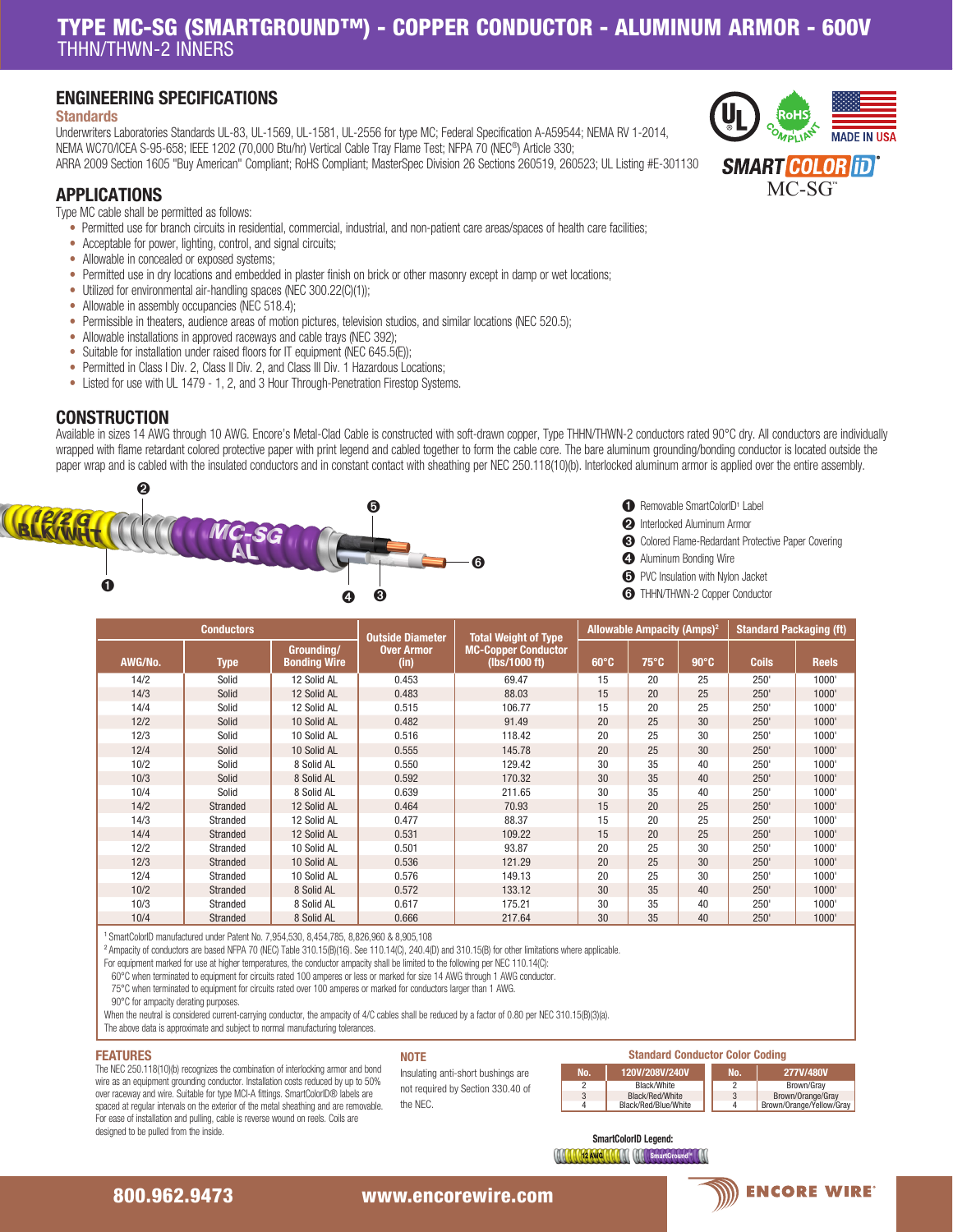# TYPE MC-SG (SMARTGROUND™) - COPPER CONDUCTOR - ALUMINUM ARMOR - 600V THHN/THWN-2 INNERS

# ENGINEERING SPECIFICATIONS

## **Standards**

Underwriters Laboratories Standards UL-83, UL-1569, UL-1581, UL-2556 for type MC; Federal Specification A-A59544; NEMA RV 1-2014, NEMA WC70/ICEA S-95-658; IEEE 1202 (70,000 Btu/hr) Vertical Cable Tray Flame Test; NFPA 70 (NEC®) Article 330; ARRA 2009 Section 1605 "Buy American" Compliant; RoHS Compliant; MasterSpec Division 26 Sections 260519, 260523; UL Listing #E-301130

# APPLICATIONS

Type MC cable shall be permitted as follows:

- Permitted use for branch circuits in residential, commercial, industrial, and non-patient care areas/spaces of health care facilities;
- Acceptable for power, lighting, control, and signal circuits;
- Allowable in concealed or exposed systems;
- Permitted use in dry locations and embedded in plaster finish on brick or other masonry except in damp or wet locations;
- Utilized for environmental air-handling spaces (NEC 300.22(C)(1));
- Allowable in assembly occupancies (NEC 518.4);
- Permissible in theaters, audience areas of motion pictures, television studios, and similar locations (NEC 520.5);
- Allowable installations in approved raceways and cable trays (NEC 392):
- Suitable for installation under raised floors for IT equipment (NEC 645.5(E));
- Permitted in Class I Div. 2, Class II Div. 2, and Class III Div. 1 Hazardous Locations;
- Listed for use with UL 1479 1, 2, and 3 Hour Through-Penetration Firestop Systems.

## **CONSTRUCTION**

Available in sizes 14 AWG through 10 AWG. Encore's Metal-Clad Cable is constructed with soft-drawn copper, Type THHN/THWN-2 conductors rated 90°C dry. All conductors are individually wrapped with flame retardant colored protective paper with print legend and cabled together to form the cable core. The bare aluminum grounding/bonding conductor is located outside the paper wrap and is cabled with the insulated conductors and in constant contact with sheathing per NEC 250.118(10)(b). Interlocked aluminum armor is applied over the entire assembly.



- **I** Removable SmartColorID<sup>1</sup> Label
- ➋ Interlocked Aluminum Armor
- ➌ Colored Flame-Redardant Protective Paper Covering
- **<sup>4</sup>** Aluminum Bonding Wire
- ➎ PVC Insulation with Nylon Jacket
- ➏ THHN/THWN-2 Copper Conductor

| <b>Conductors</b> |                 |                                   | <b>Outside Diameter</b><br><b>Total Weight of Type</b> |                                             | <b>Allowable Ampacity (Amps)<sup>2</sup></b> |                |                | <b>Standard Packaging (ft)</b> |              |
|-------------------|-----------------|-----------------------------------|--------------------------------------------------------|---------------------------------------------|----------------------------------------------|----------------|----------------|--------------------------------|--------------|
| AWG/No.           | <b>Type</b>     | Grounding/<br><b>Bonding Wire</b> | <b>Over Armor</b><br>(in)                              | <b>MC-Copper Conductor</b><br>(lbs/1000 ft) | $60^{\circ}$ C                               | $75^{\circ}$ C | $90^{\circ}$ C | <b>Coils</b>                   | <b>Reels</b> |
| 14/2              | Solid           | 12 Solid AL                       | 0.453                                                  | 69.47                                       | 15                                           | 20             | 25             | 250'                           | 1000'        |
| 14/3              | Solid           | 12 Solid AL                       | 0.483                                                  | 88.03                                       | 15                                           | 20             | 25             | 250'                           | 1000'        |
| 14/4              | Solid           | 12 Solid AL                       | 0.515                                                  | 106.77                                      | 15                                           | 20             | 25             | 250'                           | 1000'        |
| 12/2              | Solid           | 10 Solid AL                       | 0.482                                                  | 91.49                                       | 20                                           | 25             | 30             | 250'                           | 1000'        |
| 12/3              | Solid           | 10 Solid AL                       | 0.516                                                  | 118.42                                      | 20                                           | 25             | 30             | 250'                           | 1000'        |
| 12/4              | Solid           | 10 Solid AL                       | 0.555                                                  | 145.78                                      | 20                                           | 25             | 30             | 250'                           | 1000'        |
| 10/2              | Solid           | 8 Solid AL                        | 0.550                                                  | 129.42                                      | 30                                           | 35             | 40             | 250'                           | 1000'        |
| 10/3              | Solid           | 8 Solid AL                        | 0.592                                                  | 170.32                                      | 30                                           | 35             | 40             | 250'                           | 1000'        |
| 10/4              | Solid           | 8 Solid AL                        | 0.639                                                  | 211.65                                      | 30                                           | 35             | 40             | 250'                           | 1000'        |
| 14/2              | Stranded        | 12 Solid AL                       | 0.464                                                  | 70.93                                       | 15                                           | 20             | 25             | 250'                           | 1000'        |
| 14/3              | Stranded        | 12 Solid AL                       | 0.477                                                  | 88.37                                       | 15                                           | 20             | 25             | 250'                           | 1000'        |
| 14/4              | Stranded        | 12 Solid AL                       | 0.531                                                  | 109.22                                      | 15                                           | 20             | 25             | 250'                           | 1000'        |
| 12/2              | Stranded        | 10 Solid AL                       | 0.501                                                  | 93.87                                       | 20                                           | 25             | 30             | 250'                           | 1000'        |
| 12/3              | Stranded        | 10 Solid AL                       | 0.536                                                  | 121.29                                      | 20                                           | 25             | 30             | 250'                           | 1000'        |
| 12/4              | Stranded        | 10 Solid AL                       | 0.576                                                  | 149.13                                      | 20                                           | 25             | 30             | 250'                           | 1000'        |
| 10/2              | <b>Stranded</b> | 8 Solid AL                        | 0.572                                                  | 133.12                                      | 30                                           | 35             | 40             | 250'                           | 1000'        |
| 10/3              | Stranded        | 8 Solid AL                        | 0.617                                                  | 175.21                                      | 30                                           | 35             | 40             | 250'                           | 1000'        |
| 10/4              | Stranded        | 8 Solid AL                        | 0.666                                                  | 217.64                                      | 30                                           | 35             | 40             | 250'                           | 1000'        |

<sup>1</sup>SmartColorID manufactured under Patent No. 7,954,530, 8,454,785, 8,826,960 & 8,905,108

<sup>2</sup>Ampacity of conductors are based NFPA 70 (NEC) Table 310.15(B)(16). See 110.14(C), 240.4(D) and 310.15(B) for other limitations where applicable.

For equipment marked for use at higher temperatures, the conductor ampacity shall be limited to the following per NEC 110.14(C):

60°C when terminated to equipment for circuits rated 100 amperes or less or marked for size 14 AWG through 1 AWG conductor.

75°C when terminated to equipment for circuits rated over 100 amperes or marked for conductors larger than 1 AWG.

90°C for ampacity derating purposes.

When the neutral is considered current-carrying conductor, the ampacity of 4/C cables shall be reduced by a factor of 0.80 per NEC 310.15(B)(3)(a).

The above data is approximate and subject to normal manufacturing tolerances.

### FEATURES

### **NOTE**

Insulating anti-short bushings are not required by Section 330.40 of the NEC.

| <b>Standard Conductor Color Coding</b> |     |                      |  |     |                          |  |  |
|----------------------------------------|-----|----------------------|--|-----|--------------------------|--|--|
|                                        | No. | 120V/208V/240V       |  | No. | 277V/480V                |  |  |
|                                        |     | Black/White          |  |     | Brown/Grav               |  |  |
|                                        | 3   | Black/Red/White      |  |     | Brown/Orange/Grav        |  |  |
|                                        | 4   | Black/Red/Blue/White |  |     | Brown/Orange/Yellow/Grav |  |  |

SmartColorID Legend:

**MARTINEZ AWG MARTINE IN SmartGrou** 

The NEC 250.118(10)(b) recognizes the combination of interlocking armor and bond wire as an equipment grounding conductor. Installation costs reduced by up to 50% over raceway and wire. Suitable for type MCI-A fittings. SmartColorID® labels are spaced at regular intervals on the exterior of the metal sheathing and are removable. For ease of installation and pulling, cable is reverse wound on reels. Coils are designed to be pulled from the inside.

# 800.962.9473 www.encorewire.com www.encorewire.com 800.962.9473 www.encorewire.com